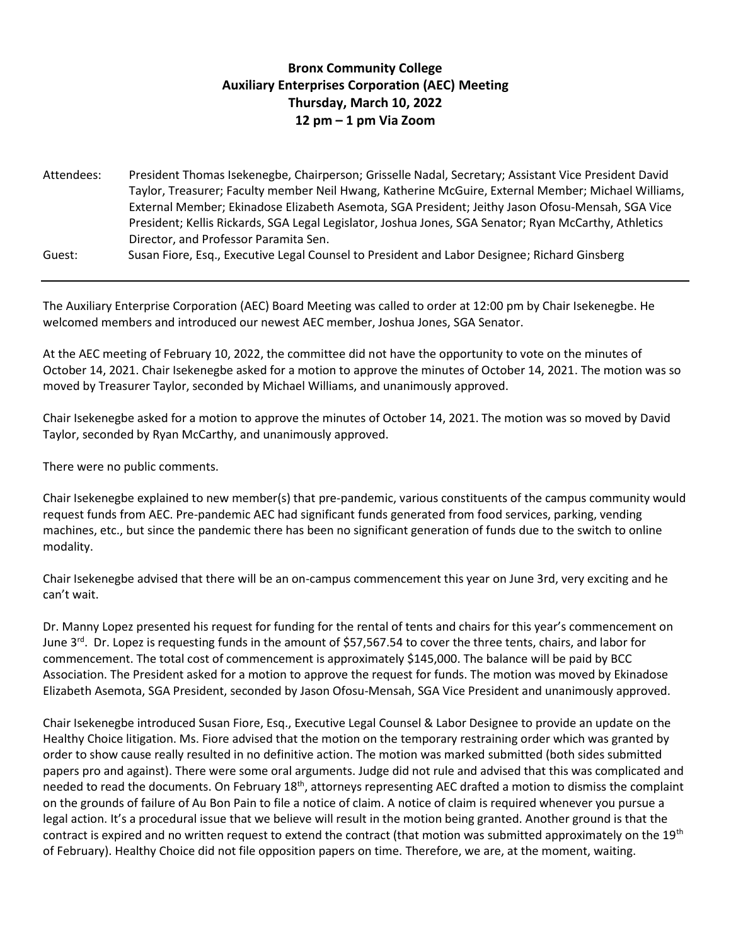## **Bronx Community College Auxiliary Enterprises Corporation (AEC) Meeting Thursday, March 10, 2022 12 pm – 1 pm Via Zoom**

| Attendees: | President Thomas Isekenegbe, Chairperson; Grisselle Nadal, Secretary; Assistant Vice President David  |
|------------|-------------------------------------------------------------------------------------------------------|
|            | Taylor, Treasurer; Faculty member Neil Hwang, Katherine McGuire, External Member; Michael Williams,   |
|            | External Member; Ekinadose Elizabeth Asemota, SGA President; Jeithy Jason Ofosu-Mensah, SGA Vice      |
|            | President; Kellis Rickards, SGA Legal Legislator, Joshua Jones, SGA Senator; Ryan McCarthy, Athletics |
|            | Director, and Professor Paramita Sen.                                                                 |
| Guest:     | Susan Fiore, Esq., Executive Legal Counsel to President and Labor Designee; Richard Ginsberg          |

The Auxiliary Enterprise Corporation (AEC) Board Meeting was called to order at 12:00 pm by Chair Isekenegbe. He welcomed members and introduced our newest AEC member, Joshua Jones, SGA Senator.

At the AEC meeting of February 10, 2022, the committee did not have the opportunity to vote on the minutes of October 14, 2021. Chair Isekenegbe asked for a motion to approve the minutes of October 14, 2021. The motion was so moved by Treasurer Taylor, seconded by Michael Williams, and unanimously approved.

Chair Isekenegbe asked for a motion to approve the minutes of October 14, 2021. The motion was so moved by David Taylor, seconded by Ryan McCarthy, and unanimously approved.

There were no public comments.

Chair Isekenegbe explained to new member(s) that pre-pandemic, various constituents of the campus community would request funds from AEC. Pre-pandemic AEC had significant funds generated from food services, parking, vending machines, etc., but since the pandemic there has been no significant generation of funds due to the switch to online modality.

Chair Isekenegbe advised that there will be an on-campus commencement this year on June 3rd, very exciting and he can't wait.

Dr. Manny Lopez presented his request for funding for the rental of tents and chairs for this year's commencement on June 3<sup>rd</sup>. Dr. Lopez is requesting funds in the amount of \$57,567.54 to cover the three tents, chairs, and labor for commencement. The total cost of commencement is approximately \$145,000. The balance will be paid by BCC Association. The President asked for a motion to approve the request for funds. The motion was moved by Ekinadose Elizabeth Asemota, SGA President, seconded by Jason Ofosu-Mensah, SGA Vice President and unanimously approved.

Chair Isekenegbe introduced Susan Fiore, Esq., Executive Legal Counsel & Labor Designee to provide an update on the Healthy Choice litigation. Ms. Fiore advised that the motion on the temporary restraining order which was granted by order to show cause really resulted in no definitive action. The motion was marked submitted (both sides submitted papers pro and against). There were some oral arguments. Judge did not rule and advised that this was complicated and needed to read the documents. On February 18<sup>th</sup>, attorneys representing AEC drafted a motion to dismiss the complaint on the grounds of failure of Au Bon Pain to file a notice of claim. A notice of claim is required whenever you pursue a legal action. It's a procedural issue that we believe will result in the motion being granted. Another ground is that the contract is expired and no written request to extend the contract (that motion was submitted approximately on the 19<sup>th</sup> of February). Healthy Choice did not file opposition papers on time. Therefore, we are, at the moment, waiting.